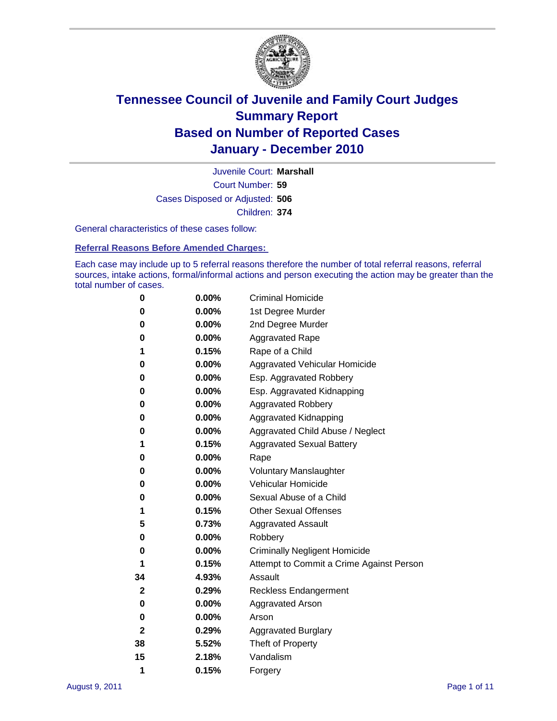

Court Number: **59** Juvenile Court: **Marshall** Cases Disposed or Adjusted: **506** Children: **374**

General characteristics of these cases follow:

**Referral Reasons Before Amended Charges:** 

Each case may include up to 5 referral reasons therefore the number of total referral reasons, referral sources, intake actions, formal/informal actions and person executing the action may be greater than the total number of cases.

| 0  | $0.00\%$ | <b>Criminal Homicide</b>                 |
|----|----------|------------------------------------------|
| 0  | 0.00%    | 1st Degree Murder                        |
| 0  | 0.00%    | 2nd Degree Murder                        |
| 0  | 0.00%    | <b>Aggravated Rape</b>                   |
| 1  | 0.15%    | Rape of a Child                          |
| 0  | 0.00%    | Aggravated Vehicular Homicide            |
| 0  | 0.00%    | Esp. Aggravated Robbery                  |
| 0  | 0.00%    | Esp. Aggravated Kidnapping               |
| 0  | 0.00%    | <b>Aggravated Robbery</b>                |
| 0  | 0.00%    | Aggravated Kidnapping                    |
| 0  | 0.00%    | Aggravated Child Abuse / Neglect         |
| 1  | 0.15%    | <b>Aggravated Sexual Battery</b>         |
| 0  | 0.00%    | Rape                                     |
| 0  | 0.00%    | <b>Voluntary Manslaughter</b>            |
| 0  | 0.00%    | Vehicular Homicide                       |
| 0  | 0.00%    | Sexual Abuse of a Child                  |
| 1  | 0.15%    | <b>Other Sexual Offenses</b>             |
| 5  | 0.73%    | <b>Aggravated Assault</b>                |
| 0  | 0.00%    | Robbery                                  |
| 0  | 0.00%    | <b>Criminally Negligent Homicide</b>     |
| 1  | 0.15%    | Attempt to Commit a Crime Against Person |
| 34 | 4.93%    | Assault                                  |
| 2  | 0.29%    | <b>Reckless Endangerment</b>             |
| 0  | 0.00%    | <b>Aggravated Arson</b>                  |
| 0  | 0.00%    | Arson                                    |
| 2  | 0.29%    | <b>Aggravated Burglary</b>               |
| 38 | 5.52%    | Theft of Property                        |
| 15 | 2.18%    | Vandalism                                |
| 1  | 0.15%    | Forgery                                  |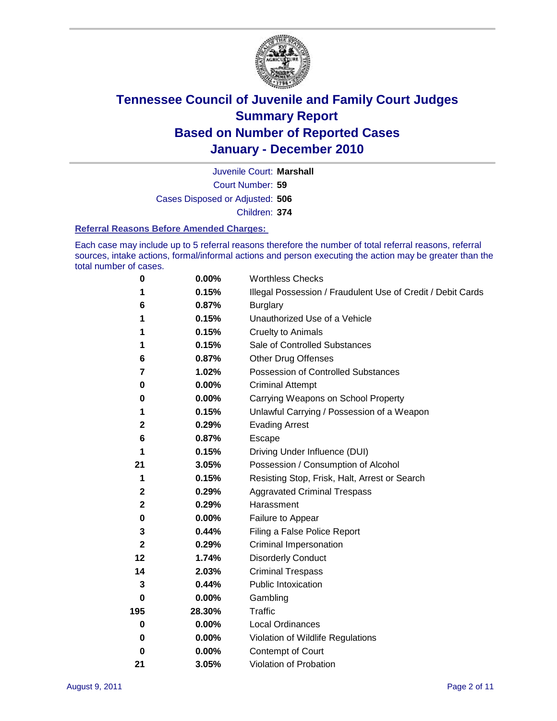

Court Number: **59** Juvenile Court: **Marshall** Cases Disposed or Adjusted: **506** Children: **374**

#### **Referral Reasons Before Amended Charges:**

Each case may include up to 5 referral reasons therefore the number of total referral reasons, referral sources, intake actions, formal/informal actions and person executing the action may be greater than the total number of cases.

| $\pmb{0}$    | 0.00%    | <b>Worthless Checks</b>                                     |
|--------------|----------|-------------------------------------------------------------|
| 1            | 0.15%    | Illegal Possession / Fraudulent Use of Credit / Debit Cards |
| 6            | 0.87%    | <b>Burglary</b>                                             |
| 1            | 0.15%    | Unauthorized Use of a Vehicle                               |
| 1            | 0.15%    | <b>Cruelty to Animals</b>                                   |
| 1            | 0.15%    | Sale of Controlled Substances                               |
| 6            | 0.87%    | <b>Other Drug Offenses</b>                                  |
| 7            | 1.02%    | Possession of Controlled Substances                         |
| 0            | $0.00\%$ | <b>Criminal Attempt</b>                                     |
| 0            | 0.00%    | Carrying Weapons on School Property                         |
| 1            | 0.15%    | Unlawful Carrying / Possession of a Weapon                  |
| 2            | 0.29%    | <b>Evading Arrest</b>                                       |
| 6            | 0.87%    | Escape                                                      |
| 1            | 0.15%    | Driving Under Influence (DUI)                               |
| 21           | 3.05%    | Possession / Consumption of Alcohol                         |
| 1            | 0.15%    | Resisting Stop, Frisk, Halt, Arrest or Search               |
| $\mathbf{2}$ | 0.29%    | <b>Aggravated Criminal Trespass</b>                         |
| $\mathbf 2$  | 0.29%    | Harassment                                                  |
| $\pmb{0}$    | 0.00%    | Failure to Appear                                           |
| 3            | 0.44%    | Filing a False Police Report                                |
| $\mathbf{2}$ | 0.29%    | Criminal Impersonation                                      |
| 12           | 1.74%    | <b>Disorderly Conduct</b>                                   |
| 14           | 2.03%    | <b>Criminal Trespass</b>                                    |
| 3            | 0.44%    | Public Intoxication                                         |
| 0            | $0.00\%$ | Gambling                                                    |
| 195          | 28.30%   | <b>Traffic</b>                                              |
| 0            | $0.00\%$ | Local Ordinances                                            |
| 0            | $0.00\%$ | Violation of Wildlife Regulations                           |
| 0            | $0.00\%$ | Contempt of Court                                           |
| 21           | 3.05%    | Violation of Probation                                      |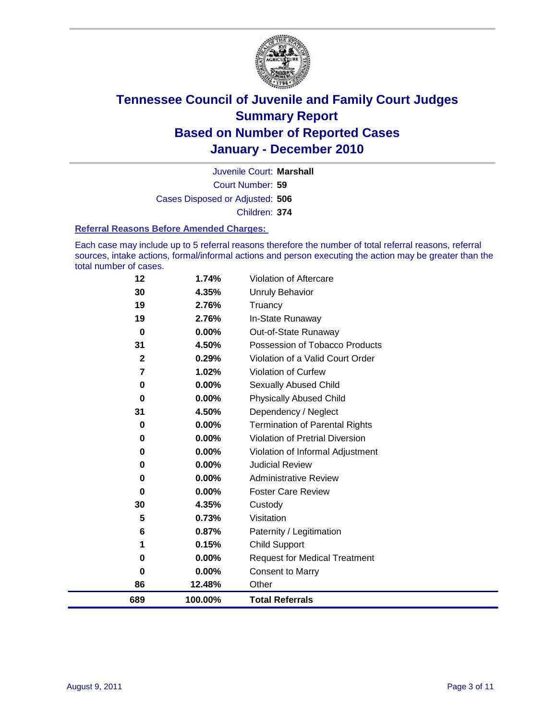

Court Number: **59** Juvenile Court: **Marshall** Cases Disposed or Adjusted: **506** Children: **374**

#### **Referral Reasons Before Amended Charges:**

Each case may include up to 5 referral reasons therefore the number of total referral reasons, referral sources, intake actions, formal/informal actions and person executing the action may be greater than the total number of cases.

| 689            | 100.00% | <b>Total Referrals</b>                 |
|----------------|---------|----------------------------------------|
| 86             | 12.48%  | Other                                  |
| 0              | 0.00%   | Consent to Marry                       |
| 0              | 0.00%   | <b>Request for Medical Treatment</b>   |
| 1              | 0.15%   | <b>Child Support</b>                   |
| 6              | 0.87%   | Paternity / Legitimation               |
| 5              | 0.73%   | Visitation                             |
| 30             | 4.35%   | Custody                                |
| 0              | 0.00%   | <b>Foster Care Review</b>              |
| 0              | 0.00%   | <b>Administrative Review</b>           |
| 0              | 0.00%   | <b>Judicial Review</b>                 |
| $\bf{0}$       | 0.00%   | Violation of Informal Adjustment       |
| 0              | 0.00%   | <b>Violation of Pretrial Diversion</b> |
| 0              | 0.00%   | <b>Termination of Parental Rights</b>  |
| 31             | 4.50%   | Dependency / Neglect                   |
| $\bf{0}$       | 0.00%   | <b>Physically Abused Child</b>         |
| 0              | 0.00%   | <b>Sexually Abused Child</b>           |
| $\overline{7}$ | 1.02%   | <b>Violation of Curfew</b>             |
| $\mathbf{2}$   | 0.29%   | Violation of a Valid Court Order       |
| 31             | 4.50%   | Possession of Tobacco Products         |
| $\bf{0}$       | 0.00%   | Out-of-State Runaway                   |
| 19             | 2.76%   | In-State Runaway                       |
| 19             | 2.76%   | Truancy                                |
| 30             | 4.35%   | <b>Unruly Behavior</b>                 |
| 12             | 1.74%   | Violation of Aftercare                 |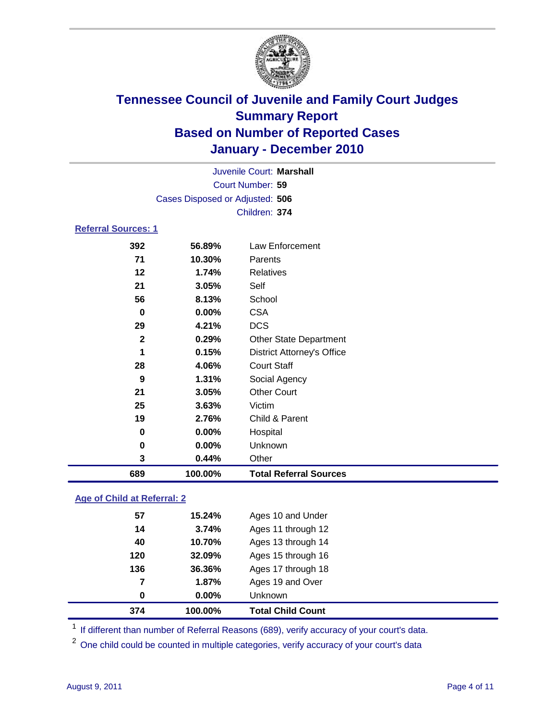

|                            |                                 |          | Juvenile Court: Marshall |  |  |  |
|----------------------------|---------------------------------|----------|--------------------------|--|--|--|
|                            | Court Number: 59                |          |                          |  |  |  |
|                            | Cases Disposed or Adjusted: 506 |          |                          |  |  |  |
|                            |                                 |          | Children: 374            |  |  |  |
| <b>Referral Sources: 1</b> |                                 |          |                          |  |  |  |
|                            | 392                             | 56.89%   | Law Enforcement          |  |  |  |
|                            | 71                              | 10.30%   | Parents                  |  |  |  |
|                            | 12                              | 1.74%    | Relatives                |  |  |  |
|                            | 21                              | 3.05%    | Self                     |  |  |  |
|                            | 56                              | 8.13%    | School                   |  |  |  |
|                            | 0                               | $0.00\%$ | <b>CSA</b>               |  |  |  |
|                            | 29                              | 4.21%    | DCS                      |  |  |  |

| 689          | 100.00%        | <b>Total Referral Sources</b>     |
|--------------|----------------|-----------------------------------|
| 3            | 0.44%          | Other                             |
| 0            | $0.00\%$       | Unknown                           |
| 0            | $0.00\%$       | Hospital                          |
| 19           | 2.76%          | Child & Parent                    |
| 25           | 3.63%          | Victim                            |
| 21           | 3.05%          | <b>Other Court</b>                |
| 9            | 1.31%          | Social Agency                     |
| 28           | 4.06%          | <b>Court Staff</b>                |
| 1            | 0.15%          | <b>District Attorney's Office</b> |
| $\mathbf{2}$ | 0.29%          | <b>Other State Department</b>     |
| 29           | 4.21%          | <b>DCS</b>                        |
| 0            | $0.00\%$       | <b>CSA</b>                        |
| 56           | 8.13%          | School                            |
| 21           | 3.05%          | Self                              |
| 12           | 1.74%          | Relatives                         |
| 71           | 10.30%         | Parents                           |
| ১৬∠          | <b>JD.0Y70</b> | Law Enforcement                   |

### **Age of Child at Referral: 2**

| 0   | 0.00%  | Unknown            |
|-----|--------|--------------------|
|     |        |                    |
|     | 1.87%  | Ages 19 and Over   |
| 136 | 36.36% | Ages 17 through 18 |
| 120 | 32.09% | Ages 15 through 16 |
| 40  | 10.70% | Ages 13 through 14 |
| 14  | 3.74%  | Ages 11 through 12 |
| 57  | 15.24% | Ages 10 and Under  |
|     | 7      |                    |

<sup>1</sup> If different than number of Referral Reasons (689), verify accuracy of your court's data.

One child could be counted in multiple categories, verify accuracy of your court's data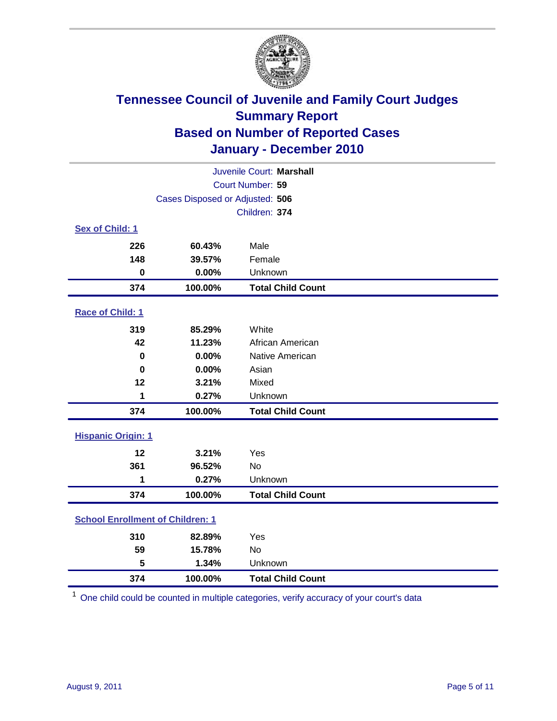

| Juvenile Court: Marshall                |                                 |                          |  |  |  |
|-----------------------------------------|---------------------------------|--------------------------|--|--|--|
|                                         | Court Number: 59                |                          |  |  |  |
|                                         | Cases Disposed or Adjusted: 506 |                          |  |  |  |
|                                         |                                 | Children: 374            |  |  |  |
| Sex of Child: 1                         |                                 |                          |  |  |  |
| 226                                     | 60.43%                          | Male                     |  |  |  |
| 148                                     | 39.57%                          | Female                   |  |  |  |
| $\mathbf 0$                             | 0.00%                           | Unknown                  |  |  |  |
| 374                                     | 100.00%                         | <b>Total Child Count</b> |  |  |  |
| Race of Child: 1                        |                                 |                          |  |  |  |
| 319                                     | 85.29%                          | White                    |  |  |  |
| 42                                      | 11.23%                          | African American         |  |  |  |
| $\mathbf 0$                             | 0.00%                           | Native American          |  |  |  |
| $\bf{0}$                                | 0.00%                           | Asian                    |  |  |  |
| 12                                      | 3.21%                           | Mixed                    |  |  |  |
| 1                                       | 0.27%                           | Unknown                  |  |  |  |
| 374                                     | 100.00%                         | <b>Total Child Count</b> |  |  |  |
| <b>Hispanic Origin: 1</b>               |                                 |                          |  |  |  |
| 12                                      | 3.21%                           | Yes                      |  |  |  |
| 361                                     | 96.52%                          | No                       |  |  |  |
| 1                                       | 0.27%                           | Unknown                  |  |  |  |
| 374                                     | 100.00%                         | <b>Total Child Count</b> |  |  |  |
| <b>School Enrollment of Children: 1</b> |                                 |                          |  |  |  |
| 310                                     | 82.89%                          | Yes                      |  |  |  |
| 59                                      | 15.78%                          | No                       |  |  |  |
| 5                                       | 1.34%                           | Unknown                  |  |  |  |
| 374                                     | 100.00%                         | <b>Total Child Count</b> |  |  |  |

One child could be counted in multiple categories, verify accuracy of your court's data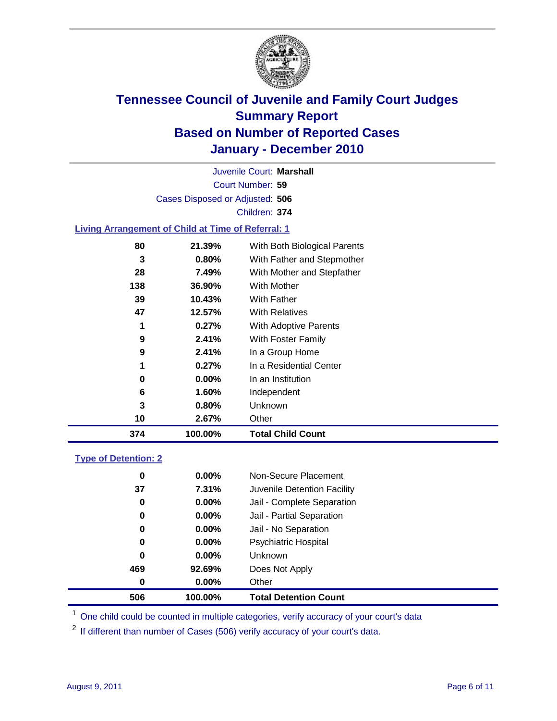

Court Number: **59** Juvenile Court: **Marshall** Cases Disposed or Adjusted: **506** Children: **374**

#### **Living Arrangement of Child at Time of Referral: 1**

|     | 100.00% | <b>Total Child Count</b>     |
|-----|---------|------------------------------|
| 10  | 2.67%   | Other                        |
| 3   | 0.80%   | Unknown                      |
| 6   | 1.60%   | Independent                  |
| 0   | 0.00%   | In an Institution            |
| 1   | 0.27%   | In a Residential Center      |
| 9   | 2.41%   | In a Group Home              |
| 9   | 2.41%   | With Foster Family           |
| 1   | 0.27%   | With Adoptive Parents        |
| 47  | 12.57%  | <b>With Relatives</b>        |
| 39  | 10.43%  | With Father                  |
| 138 | 36.90%  | With Mother                  |
| 28  | 7.49%   | With Mother and Stepfather   |
| 3   | 0.80%   | With Father and Stepmother   |
| 80  | 21.39%  | With Both Biological Parents |
|     | 374     |                              |

#### **Type of Detention: 2**

| 506      | 100.00%  | <b>Total Detention Count</b> |  |
|----------|----------|------------------------------|--|
| $\bf{0}$ | 0.00%    | Other                        |  |
| 469      | 92.69%   | Does Not Apply               |  |
| 0        | 0.00%    | Unknown                      |  |
| 0        | $0.00\%$ | Psychiatric Hospital         |  |
| 0        | 0.00%    | Jail - No Separation         |  |
| 0        | $0.00\%$ | Jail - Partial Separation    |  |
| 0        | $0.00\%$ | Jail - Complete Separation   |  |
| 37       | 7.31%    | Juvenile Detention Facility  |  |
| 0        | $0.00\%$ | Non-Secure Placement         |  |
|          |          |                              |  |

<sup>1</sup> One child could be counted in multiple categories, verify accuracy of your court's data

<sup>2</sup> If different than number of Cases (506) verify accuracy of your court's data.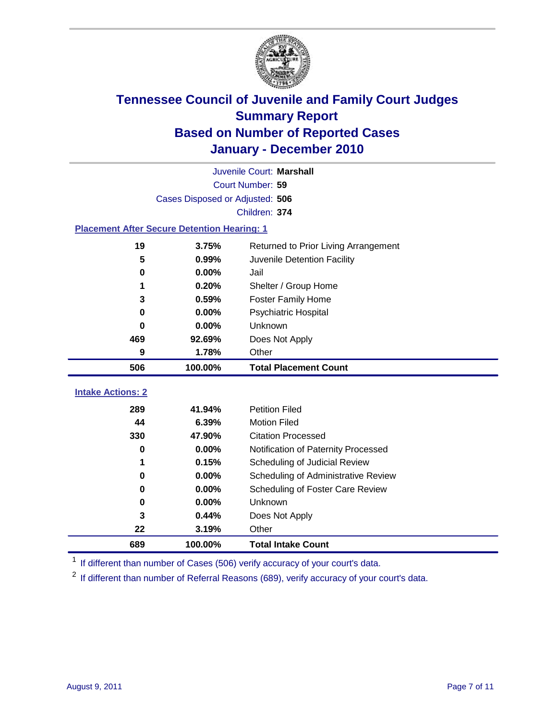

|                                                    | Juvenile Court: Marshall             |                                     |  |  |  |  |
|----------------------------------------------------|--------------------------------------|-------------------------------------|--|--|--|--|
|                                                    | Court Number: 59                     |                                     |  |  |  |  |
|                                                    | Cases Disposed or Adjusted: 506      |                                     |  |  |  |  |
|                                                    | Children: 374                        |                                     |  |  |  |  |
| <b>Placement After Secure Detention Hearing: 1</b> |                                      |                                     |  |  |  |  |
| 19                                                 | Returned to Prior Living Arrangement |                                     |  |  |  |  |
| 5                                                  | 0.99%                                | Juvenile Detention Facility         |  |  |  |  |
| $\bf{0}$                                           | 0.00%                                | Jail                                |  |  |  |  |
| 1                                                  | 0.20%                                | Shelter / Group Home                |  |  |  |  |
| 3                                                  | 0.59%                                | <b>Foster Family Home</b>           |  |  |  |  |
| $\bf{0}$                                           | 0.00%                                | Psychiatric Hospital                |  |  |  |  |
| 0                                                  | 0.00%                                | Unknown                             |  |  |  |  |
| 469                                                | 92.69%                               | Does Not Apply                      |  |  |  |  |
| 9                                                  | 1.78%                                | Other                               |  |  |  |  |
| 506                                                | 100.00%                              | <b>Total Placement Count</b>        |  |  |  |  |
|                                                    |                                      |                                     |  |  |  |  |
| <b>Intake Actions: 2</b>                           |                                      |                                     |  |  |  |  |
| 289                                                | 41.94%                               | <b>Petition Filed</b>               |  |  |  |  |
| 44                                                 | 6.39%                                | <b>Motion Filed</b>                 |  |  |  |  |
| 330                                                | 47.90%                               | <b>Citation Processed</b>           |  |  |  |  |
| $\bf{0}$                                           | 0.00%                                | Notification of Paternity Processed |  |  |  |  |
| 1                                                  | 0.15%                                | Scheduling of Judicial Review       |  |  |  |  |
| 0                                                  | 0.00%                                | Scheduling of Administrative Review |  |  |  |  |
| $\bf{0}$                                           | 0.00%                                | Scheduling of Foster Care Review    |  |  |  |  |
| $\bf{0}$                                           | 0.00%                                | Unknown                             |  |  |  |  |
| 3                                                  | 0.44%                                | Does Not Apply                      |  |  |  |  |
| 22                                                 | 3.19%                                | Other                               |  |  |  |  |
| 689                                                | 100.00%                              | <b>Total Intake Count</b>           |  |  |  |  |

<sup>1</sup> If different than number of Cases (506) verify accuracy of your court's data.

<sup>2</sup> If different than number of Referral Reasons (689), verify accuracy of your court's data.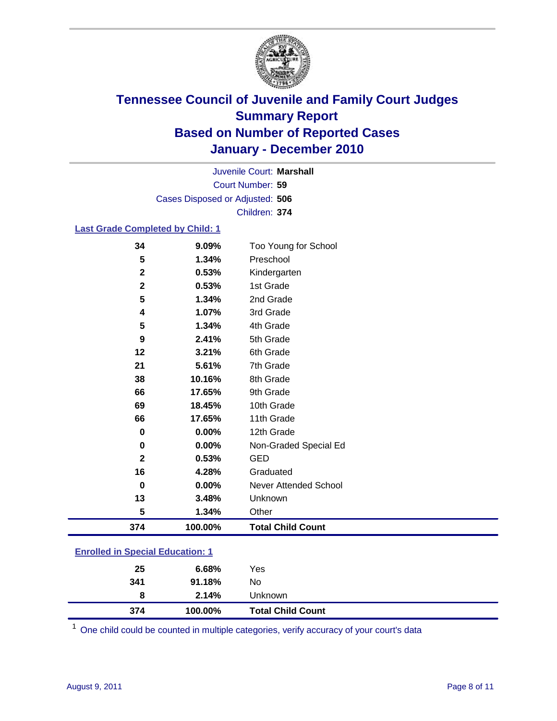

Court Number: **59** Juvenile Court: **Marshall** Cases Disposed or Adjusted: **506** Children: **374**

#### **Last Grade Completed by Child: 1**

| 34                                      | 9.09%   | Too Young for School         |  |
|-----------------------------------------|---------|------------------------------|--|
| 5                                       | 1.34%   | Preschool                    |  |
| $\mathbf 2$                             | 0.53%   | Kindergarten                 |  |
| $\mathbf{2}$                            | 0.53%   | 1st Grade                    |  |
| 5                                       | 1.34%   | 2nd Grade                    |  |
| 4                                       | 1.07%   | 3rd Grade                    |  |
| 5                                       | 1.34%   | 4th Grade                    |  |
| 9                                       | 2.41%   | 5th Grade                    |  |
| 12                                      | 3.21%   | 6th Grade                    |  |
| 21                                      | 5.61%   | 7th Grade                    |  |
| 38                                      | 10.16%  | 8th Grade                    |  |
| 66                                      | 17.65%  | 9th Grade                    |  |
| 69                                      | 18.45%  | 10th Grade                   |  |
| 66                                      | 17.65%  | 11th Grade                   |  |
| 0                                       | 0.00%   | 12th Grade                   |  |
| 0                                       | 0.00%   | Non-Graded Special Ed        |  |
| $\mathbf{2}$                            | 0.53%   | <b>GED</b>                   |  |
| 16                                      | 4.28%   | Graduated                    |  |
| $\bf{0}$                                | 0.00%   | <b>Never Attended School</b> |  |
| 13                                      | 3.48%   | Unknown                      |  |
| 5                                       | 1.34%   | Other                        |  |
| 374                                     | 100.00% | <b>Total Child Count</b>     |  |
| <b>Enrolled in Special Education: 1</b> |         |                              |  |

| 374                                   | 100.00% | <b>Total Child Count</b> |  |  |
|---------------------------------------|---------|--------------------------|--|--|
| 8                                     | 2.14%   | <b>Unknown</b>           |  |  |
| 341                                   | 91.18%  | No                       |  |  |
| 25                                    | 6.68%   | Yes                      |  |  |
| $\mathbf{r}$ only a  opposite example |         |                          |  |  |

One child could be counted in multiple categories, verify accuracy of your court's data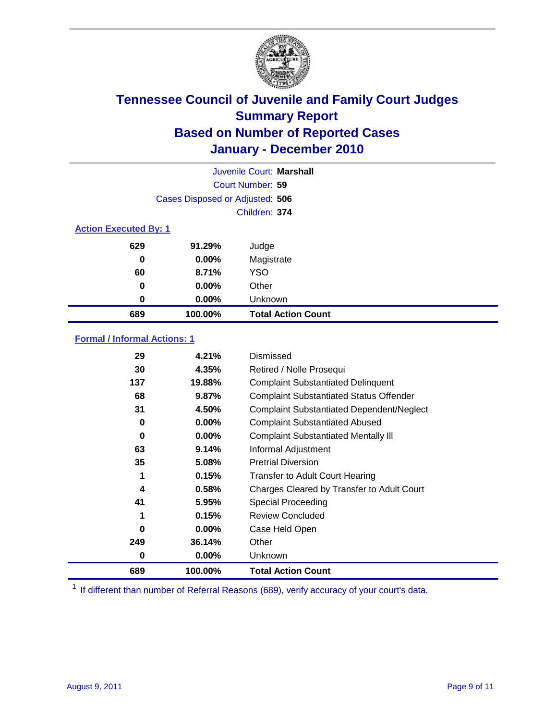

|                              |                                 | Juvenile Court: Marshall  |
|------------------------------|---------------------------------|---------------------------|
|                              |                                 | Court Number: 59          |
|                              | Cases Disposed or Adjusted: 506 |                           |
|                              |                                 | Children: 374             |
| <b>Action Executed By: 1</b> |                                 |                           |
| 629                          | 91.29%                          | Judge                     |
| 0                            | $0.00\%$                        | Magistrate                |
| 60                           | 8.71%                           | <b>YSO</b>                |
| $\bf{0}$                     | $0.00\%$                        | Other                     |
| 0                            | 0.00%                           | Unknown                   |
| 689                          | 100.00%                         | <b>Total Action Count</b> |

### **Formal / Informal Actions: 1**

| 29  | 4.21%    | Dismissed                                        |
|-----|----------|--------------------------------------------------|
| 30  | 4.35%    | Retired / Nolle Prosequi                         |
| 137 | 19.88%   | <b>Complaint Substantiated Delinquent</b>        |
| 68  | 9.87%    | <b>Complaint Substantiated Status Offender</b>   |
| 31  | 4.50%    | <b>Complaint Substantiated Dependent/Neglect</b> |
| 0   | $0.00\%$ | <b>Complaint Substantiated Abused</b>            |
| 0   | $0.00\%$ | <b>Complaint Substantiated Mentally III</b>      |
| 63  | 9.14%    | Informal Adjustment                              |
| 35  | 5.08%    | <b>Pretrial Diversion</b>                        |
| 1   | 0.15%    | <b>Transfer to Adult Court Hearing</b>           |
| 4   | 0.58%    | Charges Cleared by Transfer to Adult Court       |
| 41  | 5.95%    | Special Proceeding                               |
| 1   | 0.15%    | <b>Review Concluded</b>                          |
| 0   | $0.00\%$ | Case Held Open                                   |
| 249 | 36.14%   | Other                                            |
| 0   | $0.00\%$ | <b>Unknown</b>                                   |
| 689 | 100.00%  | <b>Total Action Count</b>                        |

<sup>1</sup> If different than number of Referral Reasons (689), verify accuracy of your court's data.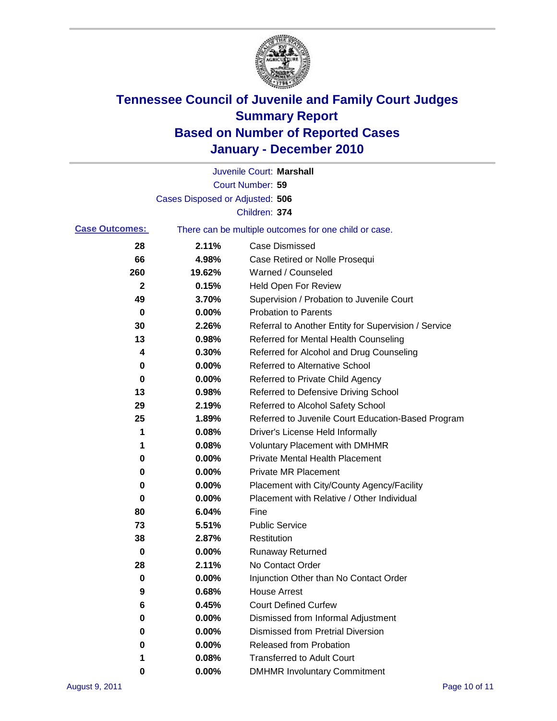

|                       |                                 | Juvenile Court: Marshall                              |
|-----------------------|---------------------------------|-------------------------------------------------------|
|                       |                                 | Court Number: 59                                      |
|                       | Cases Disposed or Adjusted: 506 |                                                       |
|                       |                                 | Children: 374                                         |
| <b>Case Outcomes:</b> |                                 | There can be multiple outcomes for one child or case. |
| 28                    | 2.11%                           | <b>Case Dismissed</b>                                 |
| 66                    | 4.98%                           | Case Retired or Nolle Prosequi                        |
| 260                   | 19.62%                          | Warned / Counseled                                    |
| 2                     | 0.15%                           | <b>Held Open For Review</b>                           |
| 49                    | 3.70%                           | Supervision / Probation to Juvenile Court             |
| 0                     | 0.00%                           | <b>Probation to Parents</b>                           |
| 30                    | 2.26%                           | Referral to Another Entity for Supervision / Service  |
| 13                    | 0.98%                           | Referred for Mental Health Counseling                 |
| 4                     | 0.30%                           | Referred for Alcohol and Drug Counseling              |
| 0                     | 0.00%                           | <b>Referred to Alternative School</b>                 |
| 0                     | 0.00%                           | Referred to Private Child Agency                      |
| 13                    | 0.98%                           | Referred to Defensive Driving School                  |
| 29                    | 2.19%                           | Referred to Alcohol Safety School                     |
| 25                    | 1.89%                           | Referred to Juvenile Court Education-Based Program    |
| 1                     | 0.08%                           | Driver's License Held Informally                      |
| 1                     | 0.08%                           | <b>Voluntary Placement with DMHMR</b>                 |
| 0                     | 0.00%                           | <b>Private Mental Health Placement</b>                |
| 0                     | 0.00%                           | <b>Private MR Placement</b>                           |
| 0                     | 0.00%                           | Placement with City/County Agency/Facility            |
| 0                     | 0.00%                           | Placement with Relative / Other Individual            |
| 80                    | 6.04%                           | Fine                                                  |
| 73                    | 5.51%                           | <b>Public Service</b>                                 |
| 38                    | 2.87%                           | Restitution                                           |
| 0                     | 0.00%                           | <b>Runaway Returned</b>                               |
| 28                    | 2.11%                           | No Contact Order                                      |
| 0                     | 0.00%                           | Injunction Other than No Contact Order                |
| 9                     | 0.68%                           | <b>House Arrest</b>                                   |
| 6                     | 0.45%                           | <b>Court Defined Curfew</b>                           |
| 0                     | 0.00%                           | Dismissed from Informal Adjustment                    |
| 0                     | 0.00%                           | <b>Dismissed from Pretrial Diversion</b>              |
| 0                     | 0.00%                           | Released from Probation                               |
| 1                     | 0.08%                           | <b>Transferred to Adult Court</b>                     |
| 0                     | $0.00\%$                        | <b>DMHMR Involuntary Commitment</b>                   |